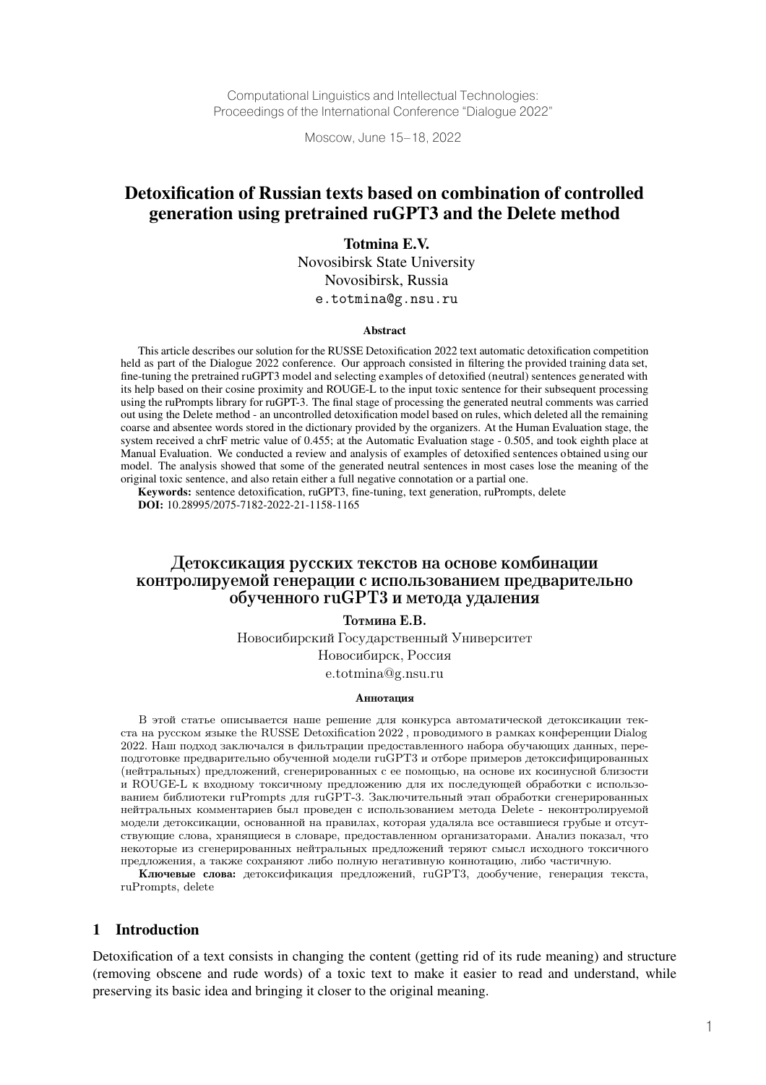Computational Linguistics and Intellectual Technologies: Proceedings of the International Conference "Dialogue 2022"

Moscow, June 15–18, 2022

# Detoxification of Russian texts based on combination of controlled generation using pretrained ruGPT3 and the Delete method

Totmina E.V.

Novosibirsk State University Novosibirsk, Russia e.totmina@g.nsu.ru

#### Abstract

This article describes our solution for the RUSSE Detoxification 2022 text automatic detoxification competition held as part of the Dialogue 2022 conference. Our approach consisted in filtering the provided training data set, fine-tuning the pretrained ruGPT3 model and selecting examples of detoxified (neutral) sentences generated with its help based on their cosine proximity and ROUGE-L to the input toxic sentence for their subsequent processing using the ruPrompts library for ruGPT-3. The final stage of processing the generated neutral comments was carried out using the Delete method - an uncontrolled detoxification model based on rules, which deleted all the remaining coarse and absentee words stored in the dictionary provided by the organizers. At the Human Evaluation stage, the system received a chrF metric value of 0.455; at the Automatic Evaluation stage - 0.505, and took eighth place at Manual Evaluation. We conducted a review and analysis of examples of detoxified sentences obtained using our model. The analysis showed that some of the generated neutral sentences in most cases lose the meaning of the original toxic sentence, and also retain either a full negative connotation or a partial one.

Keywords: sentence detoxification, ruGPT3, fine-tuning, text generation, ruPrompts, delete DOI: 10.28995/2075-7182-2022-21-1158-1165

## Детоксикация русских текстов на основе комбинации контролируемой генерации с использованием предварительно обученного ruGPT3 и метода удаления

Тотмина Е.В.

Новосибирский Государственный Университет Новосибирск, Россия e.totmina@g.nsu.ru

#### Аннотация

В этой статье описывается наше решение для конкурса автоматической детоксикации текста на русском языке the RUSSE Detoxification  $2022$ , проводимого в рамках конференции Dialog 2022. Наш подход заключался в фильтрации предоставленного набора обучающих данных, переподготовке предварительно обученной модели ruGPT3 и отборе примеров детоксифицированных (нейтральных) предложений, сгенерированных с ее помощью, на основе их косинусной близости и ROUGE-L к входному токсичному предложению для их последующей обработки с использованием библиотеки ruPrompts для ruGPT-3. Заключительный этап обработки сгенерированных нейтральных комментариев был проведен с использованием метода Delete - неконтролируемой модели детоксикации, основанной на правилах, которая удаляла все оставшиеся грубые и отсутствующие слова, хранящиеся в словаре, предоставленном организаторами. Анализ показал, что некоторые из сгенерированных нейтральных предложений теряют смысл исходного токсичного предложения, а также сохраняют либо полную негативную коннотацию, либо частичную.

Ключевые слова: детоксификация предложений, ruGPT3, дообучение, генерация текста, ruPrompts, delete

#### 1 Introduction

Detoxification of a text consists in changing the content (getting rid of its rude meaning) and structure (removing obscene and rude words) of a toxic text to make it easier to read and understand, while preserving its basic idea and bringing it closer to the original meaning.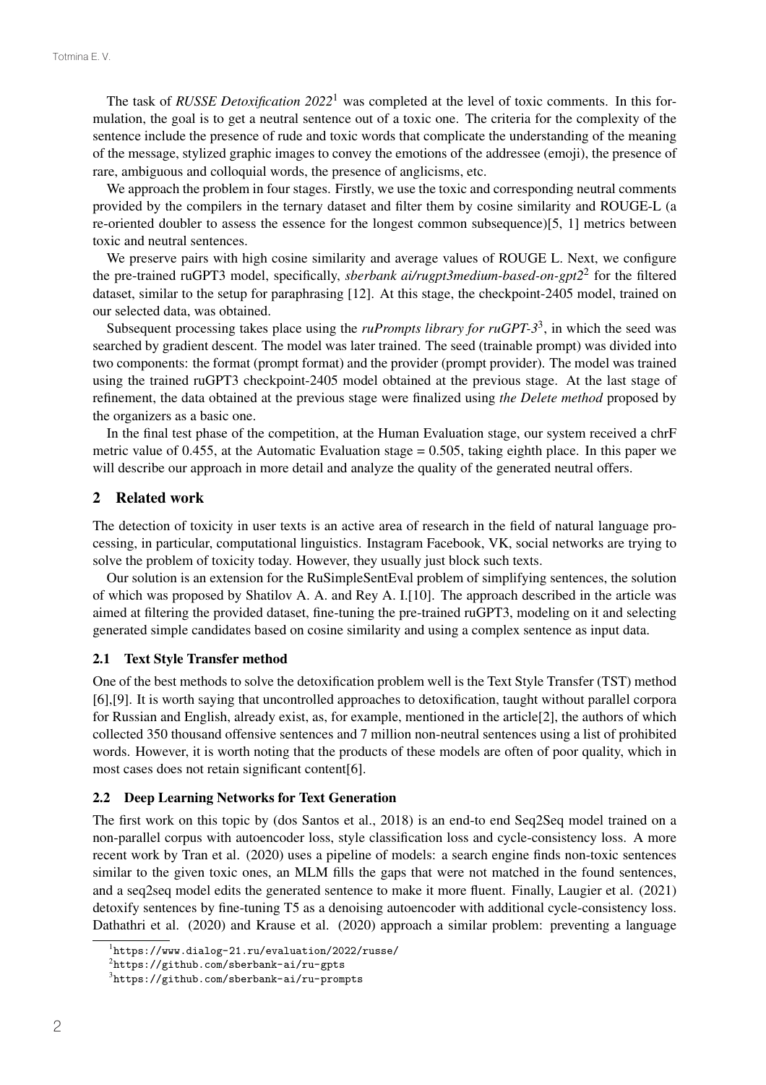The task of *RUSSE Detoxification 2022*<sup>1</sup> was completed at the level of toxic comments. In this formulation, the goal is to get a neutral sentence out of a toxic one. The criteria for the complexity of the sentence include the presence of rude and toxic words that complicate the understanding of the meaning of the message, stylized graphic images to convey the emotions of the addressee (emoji), the presence of rare, ambiguous and colloquial words, the presence of anglicisms, etc.

We approach the problem in four stages. Firstly, we use the toxic and corresponding neutral comments provided by the compilers in the ternary dataset and filter them by cosine similarity and ROUGE-L (a re-oriented doubler to assess the essence for the longest common subsequence)[5, 1] metrics between toxic and neutral sentences.

We preserve pairs with high cosine similarity and average values of ROUGE L. Next, we configure the pre-trained ruGPT3 model, specifically, *sberbank ai/rugpt3medium-based-on-gpt2*<sup>2</sup> for the filtered dataset, similar to the setup for paraphrasing [12]. At this stage, the checkpoint-2405 model, trained on our selected data, was obtained.

Subsequent processing takes place using the *ruPrompts library for ruGPT-3*3, in which the seed was searched by gradient descent. The model was later trained. The seed (trainable prompt) was divided into two components: the format (prompt format) and the provider (prompt provider). The model was trained using the trained ruGPT3 checkpoint-2405 model obtained at the previous stage. At the last stage of refinement, the data obtained at the previous stage were finalized using *the Delete method* proposed by the organizers as a basic one.

In the final test phase of the competition, at the Human Evaluation stage, our system received a chrF metric value of 0.455, at the Automatic Evaluation stage = 0.505, taking eighth place. In this paper we will describe our approach in more detail and analyze the quality of the generated neutral offers.

### 2 Related work

The detection of toxicity in user texts is an active area of research in the field of natural language processing, in particular, computational linguistics. Instagram Facebook, VK, social networks are trying to solve the problem of toxicity today. However, they usually just block such texts.

Our solution is an extension for the RuSimpleSentEval problem of simplifying sentences, the solution of which was proposed by Shatilov A. A. and Rey A. I.[10]. The approach described in the article was aimed at filtering the provided dataset, fine-tuning the pre-trained ruGPT3, modeling on it and selecting generated simple candidates based on cosine similarity and using a complex sentence as input data.

#### 2.1 Text Style Transfer method

One of the best methods to solve the detoxification problem well is the Text Style Transfer (TST) method [6],[9]. It is worth saying that uncontrolled approaches to detoxification, taught without parallel corpora for Russian and English, already exist, as, for example, mentioned in the article[2], the authors of which collected 350 thousand offensive sentences and 7 million non-neutral sentences using a list of prohibited words. However, it is worth noting that the products of these models are often of poor quality, which in most cases does not retain significant content[6].

#### 2.2 Deep Learning Networks for Text Generation

The first work on this topic by (dos Santos et al., 2018) is an end-to end Seq2Seq model trained on a non-parallel corpus with autoencoder loss, style classification loss and cycle-consistency loss. A more recent work by Tran et al. (2020) uses a pipeline of models: a search engine finds non-toxic sentences similar to the given toxic ones, an MLM fills the gaps that were not matched in the found sentences, and a seq2seq model edits the generated sentence to make it more fluent. Finally, Laugier et al. (2021) detoxify sentences by fine-tuning T5 as a denoising autoencoder with additional cycle-consistency loss. Dathathri et al. (2020) and Krause et al. (2020) approach a similar problem: preventing a language

<sup>1</sup> https://www.dialog-21.ru/evaluation/2022/russe/

 $^{2}$ https://github.com/sberbank-ai/ru-gpts

<sup>3</sup> https://github.com/sberbank-ai/ru-prompts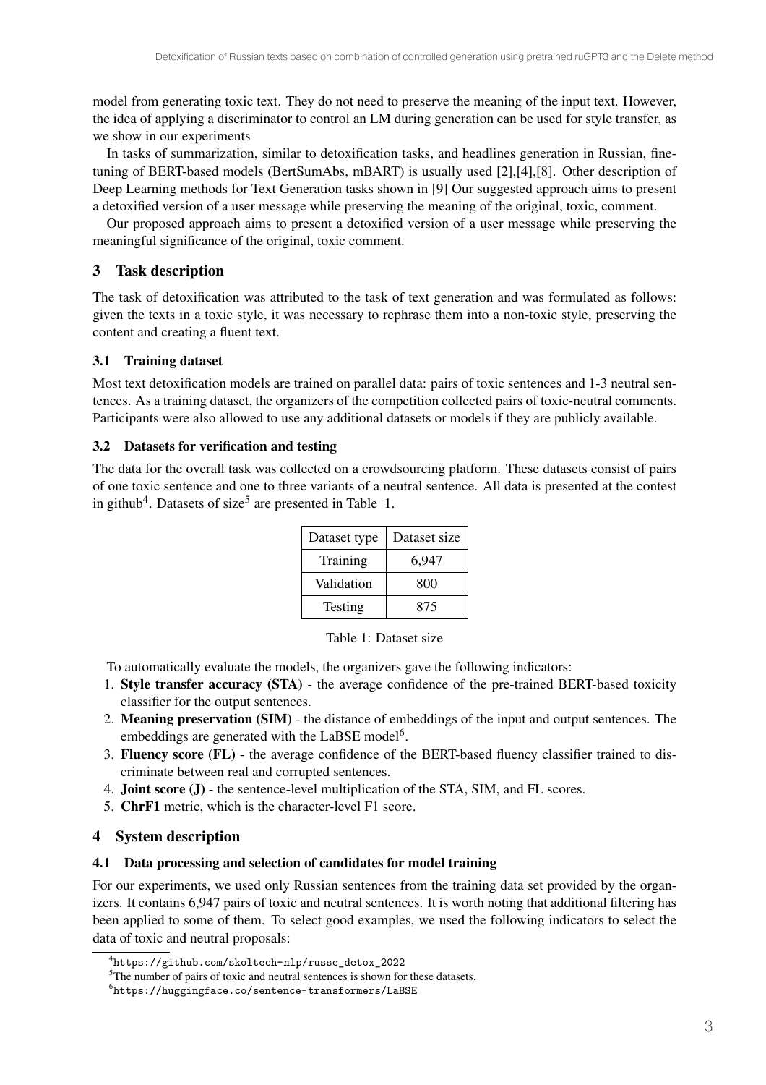model from generating toxic text. They do not need to preserve the meaning of the input text. However, the idea of applying a discriminator to control an LM during generation can be used for style transfer, as we show in our experiments

In tasks of summarization, similar to detoxification tasks, and headlines generation in Russian, finetuning of BERT-based models (BertSumAbs, mBART) is usually used [2],[4],[8]. Other description of Deep Learning methods for Text Generation tasks shown in [9] Our suggested approach aims to present a detoxified version of a user message while preserving the meaning of the original, toxic, comment.

Our proposed approach aims to present a detoxified version of a user message while preserving the meaningful significance of the original, toxic comment.

# 3 Task description

The task of detoxification was attributed to the task of text generation and was formulated as follows: given the texts in a toxic style, it was necessary to rephrase them into a non-toxic style, preserving the content and creating a fluent text.

## 3.1 Training dataset

Most text detoxification models are trained on parallel data: pairs of toxic sentences and 1-3 neutral sentences. As a training dataset, the organizers of the competition collected pairs of toxic-neutral comments. Participants were also allowed to use any additional datasets or models if they are publicly available.

### 3.2 Datasets for verification and testing

The data for the overall task was collected on a crowdsourcing platform. These datasets consist of pairs of one toxic sentence and one to three variants of a neutral sentence. All data is presented at the contest in github<sup>4</sup>. Datasets of size<sup>5</sup> are presented in Table 1.

| Dataset type | Dataset size |
|--------------|--------------|
| Training     | 6,947        |
| Validation   | 800          |
| Testing      | 875          |

Table 1: Dataset size

To automatically evaluate the models, the organizers gave the following indicators:

- 1. Style transfer accuracy (STA) the average confidence of the pre-trained BERT-based toxicity classifier for the output sentences.
- 2. Meaning preservation (SIM) the distance of embeddings of the input and output sentences. The embeddings are generated with the LaBSE model<sup>6</sup>.
- 3. Fluency score (FL) the average confidence of the BERT-based fluency classifier trained to discriminate between real and corrupted sentences.
- 4. Joint score (J) the sentence-level multiplication of the STA, SIM, and FL scores.
- 5. ChrF1 metric, which is the character-level F1 score.

## 4 System description

#### 4.1 Data processing and selection of candidates for model training

For our experiments, we used only Russian sentences from the training data set provided by the organizers. It contains 6,947 pairs of toxic and neutral sentences. It is worth noting that additional filtering has been applied to some of them. To select good examples, we used the following indicators to select the data of toxic and neutral proposals:

<sup>4</sup> https://github.com/skoltech-nlp/russe\_detox\_2022

<sup>&</sup>lt;sup>5</sup>The number of pairs of toxic and neutral sentences is shown for these datasets.

 $^6$ https://huggingface.co/sentence-transformers/LaBSE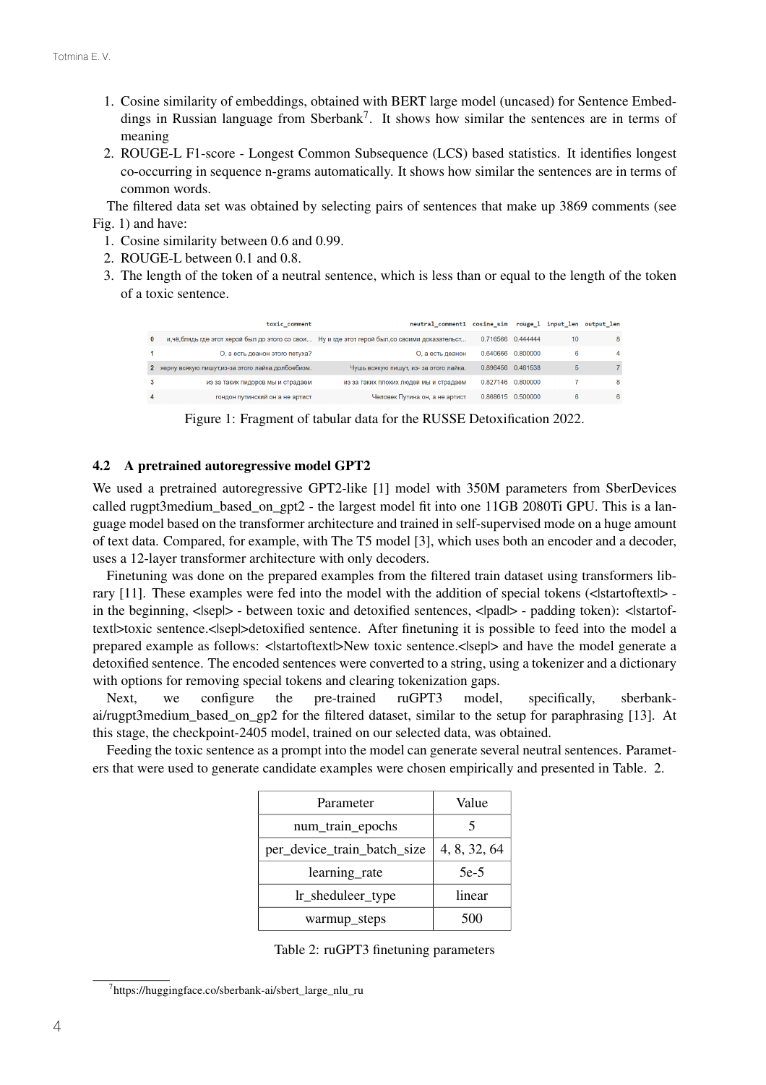- 1. Cosine similarity of embeddings, obtained with BERT large model (uncased) for Sentence Embeddings in Russian language from Sberbank<sup>7</sup>. It shows how similar the sentences are in terms of meaning
- 2. ROUGE-L F1-score Longest Common Subsequence (LCS) based statistics. It identifies longest co-occurring in sequence n-grams automatically. It shows how similar the sentences are in terms of common words.

The filtered data set was obtained by selecting pairs of sentences that make up 3869 comments (see Fig. 1) and have:

- 1. Cosine similarity between 0.6 and 0.99.
- 2. ROUGE-L between 0.1 and 0.8.
- 3. The length of the token of a neutral sentence, which is less than or equal to the length of the token of a toxic sentence.

|          | toxic comment                                        | neutral comment1 cosine sim                                                                      |                   |                   |    | rouge 1 input len output len |
|----------|------------------------------------------------------|--------------------------------------------------------------------------------------------------|-------------------|-------------------|----|------------------------------|
| $\bf{0}$ |                                                      | и, чё, блядь где этот херой был до этого со свои Ну и где этот герой был, со своими доказательст | 0.716566 0.444444 |                   | 10 | 8                            |
|          | О, а есть деанон этого петуха?                       | О, а есть деанон                                                                                 |                   | 0.640666 0.800000 | 6  | 4                            |
|          | 2 херну всякую пишут, из-за этого лайка. долбоебизм. | Чушь всякую пишут, из- за этого лайка.                                                           |                   | 0.896456 0.461538 |    |                              |
|          | из за таких пидоров мы и страдаем                    | из за таких плохих людей мы и страдаем                                                           |                   | 0.827146 0.800000 |    | 8                            |
| 4        | гондон путинский он а не артист                      | Человек Путина он, а не артист                                                                   | 0.868615 0.500000 |                   | 6  | 6                            |

Figure 1: Fragment of tabular data for the RUSSE Detoxification 2022.

#### 4.2 A pretrained autoregressive model GPT2

We used a pretrained autoregressive GPT2-like [1] model with 350M parameters from SberDevices called rugpt3medium\_based\_on\_gpt2 - the largest model fit into one 11GB 2080Ti GPU. This is a language model based on the transformer architecture and trained in self-supervised mode on a huge amount of text data. Compared, for example, with The T5 model [3], which uses both an encoder and a decoder, uses a 12-layer transformer architecture with only decoders.

Finetuning was done on the prepared examples from the filtered train dataset using transformers library  $[11]$ . These examples were fed into the model with the addition of special tokens  $\leq$ lstartoftext $\geq$ in the beginning,  $\langle$ sep $\rangle$  - between toxic and detoxified sentences,  $\langle$ pad $\rangle$  - padding token):  $\langle$ startoftext|>toxic sentence.<|sep|>detoxified sentence. After finetuning it is possible to feed into the model a prepared example as follows: <|startoftext|>New toxic sentence.<|sep|> and have the model generate a detoxified sentence. The encoded sentences were converted to a string, using a tokenizer and a dictionary with options for removing special tokens and clearing tokenization gaps.

Next, we configure the pre-trained ruGPT3 model, specifically, sberbankai/rugpt3medium\_based\_on\_gp2 for the filtered dataset, similar to the setup for paraphrasing [13]. At this stage, the checkpoint-2405 model, trained on our selected data, was obtained.

Feeding the toxic sentence as a prompt into the model can generate several neutral sentences. Parameters that were used to generate candidate examples were chosen empirically and presented in Table. 2.

| Parameter                   | Value        |
|-----------------------------|--------------|
| num_train_epochs            |              |
| per_device_train_batch_size | 4, 8, 32, 64 |
| learning_rate               | $5e-5$       |
| lr_sheduleer_type           | linear       |
| warmup_steps                | 500          |

| Table 2: ruGPT3 finetuning parameters |  |  |
|---------------------------------------|--|--|
|---------------------------------------|--|--|

<sup>7</sup> https://huggingface.co/sberbank-ai/sbert\_large\_nlu\_ru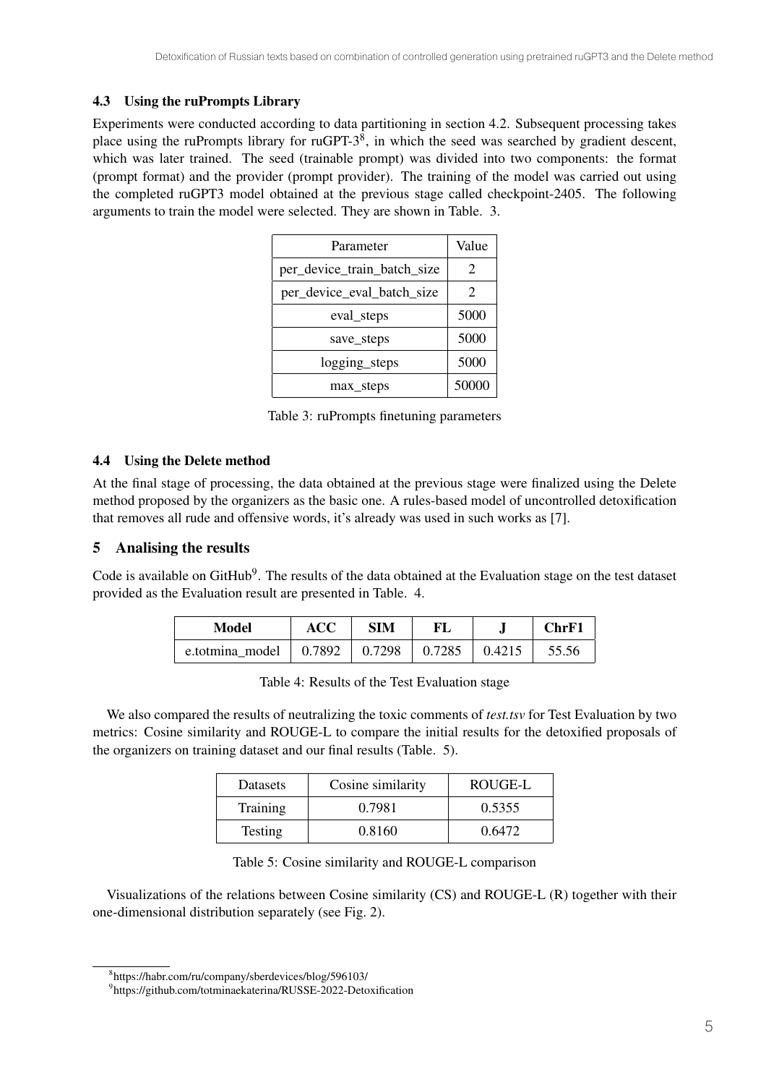## 4.3 Using the ruPrompts Library

Experiments were conducted according to data partitioning in section 4.2. Subsequent processing takes place using the ruPrompts library for ruGPT-3<sup>8</sup>, in which the seed was searched by gradient descent, which was later trained. The seed (trainable prompt) was divided into two components: the format (prompt format) and the provider (prompt provider). The training of the model was carried out using the completed ruGPT3 model obtained at the previous stage called checkpoint-2405. The following arguments to train the model were selected. They are shown in Table. 3.

| Parameter                   | Value |
|-----------------------------|-------|
| per_device_train_batch_size | 2     |
| per_device_eval_batch_size  | 2     |
| eval_steps                  | 5000  |
| save steps                  | 5000  |
| logging_steps               | 5000  |
| max_steps                   | 50000 |

Table 3: ruPrompts finetuning parameters

## 4.4 Using the Delete method

At the final stage of processing, the data obtained at the previous stage were finalized using the Delete method proposed by the organizers as the basic one. A rules-based model of uncontrolled detoxification that removes all rude and offensive words, it's already was used in such works as [7].

# 5 Analising the results

Code is available on GitHub<sup>9</sup>. The results of the data obtained at the Evaluation stage on the test dataset provided as the Evaluation result are presented in Table. 4.

| Model           | ACC                               | SIM |               |                | ChrF1 |
|-----------------|-----------------------------------|-----|---------------|----------------|-------|
| e.totmina model | $\vert 0.7892 \vert 0.7298 \vert$ |     | $\mid$ 0.7285 | $\vert$ 0.4215 | 55.56 |

| Table 4: Results of the Test Evaluation stage |  |
|-----------------------------------------------|--|
|-----------------------------------------------|--|

We also compared the results of neutralizing the toxic comments of *test.tsv* for Test Evaluation by two metrics: Cosine similarity and ROUGE-L to compare the initial results for the detoxified proposals of the organizers on training dataset and our final results (Table. 5).

| Datasets       | Cosine similarity | ROUGE-L |
|----------------|-------------------|---------|
| Training       | 0.7981            | 0.5355  |
| <b>Testing</b> | 0.8160            | 0.6472  |

Table 5: Cosine similarity and ROUGE-L comparison

Visualizations of the relations between Cosine similarity (CS) and ROUGE-L (R) together with their one-dimensional distribution separately (see Fig. 2).

<sup>8</sup> https://habr.com/ru/company/sberdevices/blog/596103/

<sup>&</sup>lt;sup>9</sup>https://github.com/totminaekaterina/RUSSE-2022-Detoxification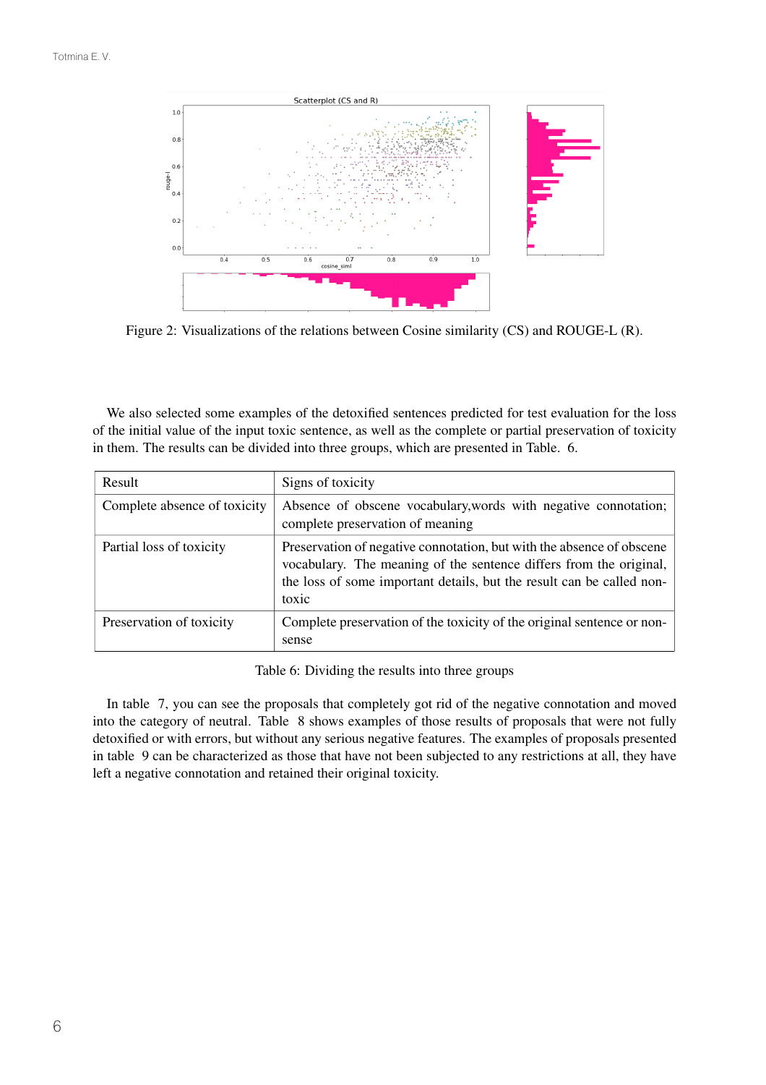

Figure 2: Visualizations of the relations between Cosine similarity (CS) and ROUGE-L (R).

We also selected some examples of the detoxified sentences predicted for test evaluation for the loss of the initial value of the input toxic sentence, as well as the complete or partial preservation of toxicity in them. The results can be divided into three groups, which are presented in Table. 6.

| Result                       | Signs of toxicity                                                                                                                                                                                                             |
|------------------------------|-------------------------------------------------------------------------------------------------------------------------------------------------------------------------------------------------------------------------------|
| Complete absence of toxicity | Absence of obscene vocabulary, words with negative connotation;<br>complete preservation of meaning                                                                                                                           |
| Partial loss of toxicity     | Preservation of negative connotation, but with the absence of obscene<br>vocabulary. The meaning of the sentence differs from the original,<br>the loss of some important details, but the result can be called non-<br>toxic |
| Preservation of toxicity     | Complete preservation of the toxicity of the original sentence or non-<br>sense                                                                                                                                               |

Table 6: Dividing the results into three groups

In table 7, you can see the proposals that completely got rid of the negative connotation and moved into the category of neutral. Table 8 shows examples of those results of proposals that were not fully detoxified or with errors, but without any serious negative features. The examples of proposals presented in table 9 can be characterized as those that have not been subjected to any restrictions at all, they have left a negative connotation and retained their original toxicity.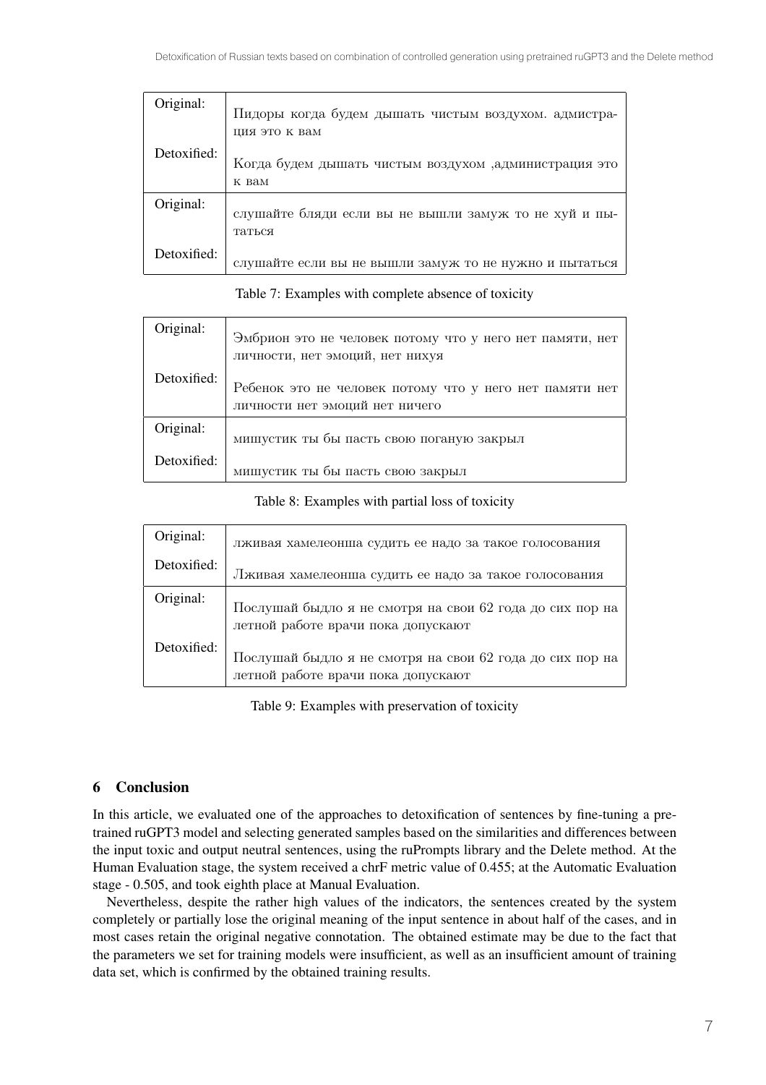| Original:   | Пидоры когда будем дышать чистым воздухом. адмистра-<br>ция это к вам |
|-------------|-----------------------------------------------------------------------|
| Detoxified: | Когда будем дышать чистым воздухом ,администрация это<br>K BAM        |
| Original:   | слушайте бляди если вы не вышли замуж то не хуй и пы-<br>таться       |
| Detoxified: | слушайте если вы не вышли замуж то не нужно и пытаться                |

| Original:   | Эмбрион это не человек потому что у него нет памяти, нет<br>личности, нет эмоций, нет нихуя |
|-------------|---------------------------------------------------------------------------------------------|
| Detoxified: | Ребенок это не человек потому что у него нет памяти нет<br>личности нет эмоций нет ничего   |
| Original:   | мишустик ты бы пасть свою поганую закрыл                                                    |
| Detoxified: | мишустик ты бы пасть свою закрыл                                                            |

Table 7: Examples with complete absence of toxicity

#### Table 8: Examples with partial loss of toxicity

| Original:   |                                                                                                |
|-------------|------------------------------------------------------------------------------------------------|
|             | лживая хамелеонша судить ее надо за такое голосования                                          |
| Detoxified: | Лживая хамелеонша судить ее надо за такое голосования                                          |
| Original:   | Послушай быдло я не смотря на свои 62 года до сих пор на<br>летной работе врачи пока допускают |
| Detoxified: | Послушай быдло я не смотря на свои 62 года до сих пор на<br>летной работе врачи пока допускают |

Table 9: Examples with preservation of toxicity

## 6 Conclusion

In this article, we evaluated one of the approaches to detoxification of sentences by fine-tuning a pretrained ruGPT3 model and selecting generated samples based on the similarities and differences between the input toxic and output neutral sentences, using the ruPrompts library and the Delete method. At the Human Evaluation stage, the system received a chrF metric value of 0.455; at the Automatic Evaluation stage - 0.505, and took eighth place at Manual Evaluation.

Nevertheless, despite the rather high values of the indicators, the sentences created by the system completely or partially lose the original meaning of the input sentence in about half of the cases, and in most cases retain the original negative connotation. The obtained estimate may be due to the fact that the parameters we set for training models were insufficient, as well as an insufficient amount of training data set, which is confirmed by the obtained training results.